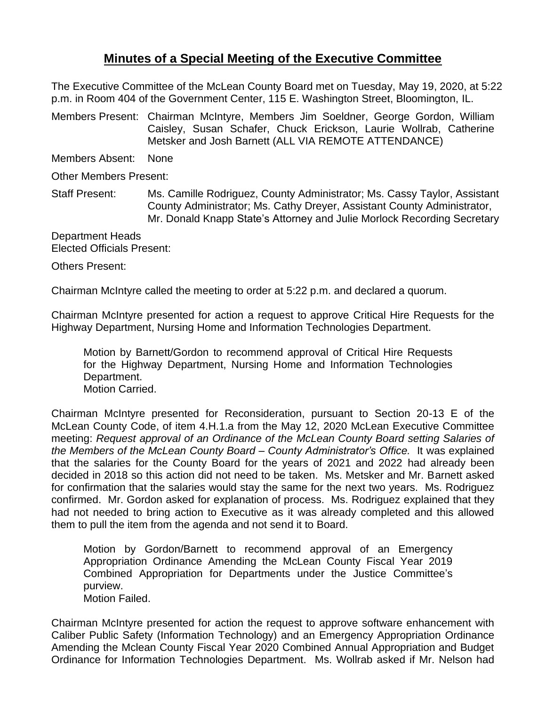## **Minutes of a Special Meeting of the Executive Committee**

The Executive Committee of the McLean County Board met on Tuesday, May 19, 2020, at 5:22 p.m. in Room 404 of the Government Center, 115 E. Washington Street, Bloomington, IL.

Members Present: Chairman McIntyre, Members Jim Soeldner, George Gordon, William Caisley, Susan Schafer, Chuck Erickson, Laurie Wollrab, Catherine Metsker and Josh Barnett (ALL VIA REMOTE ATTENDANCE)

Members Absent: None

Other Members Present:

Staff Present: Ms. Camille Rodriguez, County Administrator; Ms. Cassy Taylor, Assistant County Administrator; Ms. Cathy Dreyer, Assistant County Administrator, Mr. Donald Knapp State's Attorney and Julie Morlock Recording Secretary

Department Heads Elected Officials Present:

Others Present:

Chairman McIntyre called the meeting to order at 5:22 p.m. and declared a quorum.

Chairman McIntyre presented for action a request to approve Critical Hire Requests for the Highway Department, Nursing Home and Information Technologies Department.

Motion by Barnett/Gordon to recommend approval of Critical Hire Requests for the Highway Department, Nursing Home and Information Technologies Department. Motion Carried.

Chairman McIntyre presented for Reconsideration, pursuant to Section 20-13 E of the McLean County Code, of item 4.H.1.a from the May 12, 2020 McLean Executive Committee meeting: *Request approval of an Ordinance of the McLean County Board setting Salaries of the Members of the McLean County Board – County Administrator's Office.* It was explained that the salaries for the County Board for the years of 2021 and 2022 had already been decided in 2018 so this action did not need to be taken. Ms. Metsker and Mr. Barnett asked for confirmation that the salaries would stay the same for the next two years. Ms. Rodriguez confirmed. Mr. Gordon asked for explanation of process. Ms. Rodriguez explained that they had not needed to bring action to Executive as it was already completed and this allowed them to pull the item from the agenda and not send it to Board.

Motion by Gordon/Barnett to recommend approval of an Emergency Appropriation Ordinance Amending the McLean County Fiscal Year 2019 Combined Appropriation for Departments under the Justice Committee's purview. Motion Failed.

Chairman McIntyre presented for action the request to approve software enhancement with Caliber Public Safety (Information Technology) and an Emergency Appropriation Ordinance Amending the Mclean County Fiscal Year 2020 Combined Annual Appropriation and Budget Ordinance for Information Technologies Department. Ms. Wollrab asked if Mr. Nelson had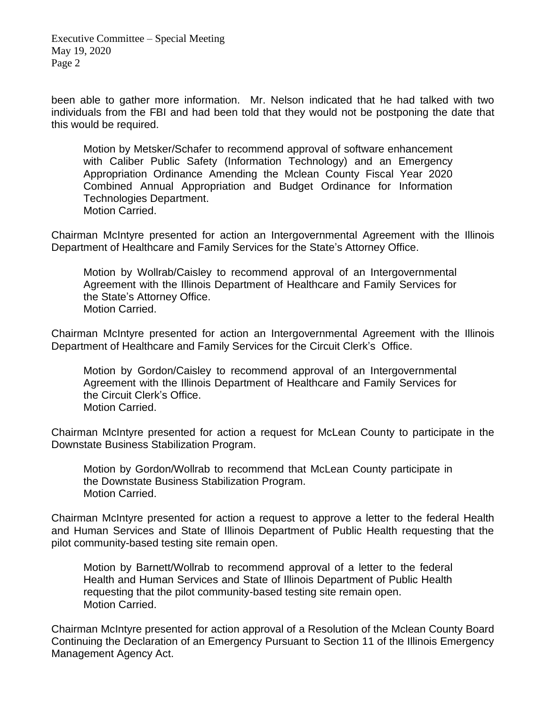Executive Committee – Special Meeting May 19, 2020 Page 2

been able to gather more information. Mr. Nelson indicated that he had talked with two individuals from the FBI and had been told that they would not be postponing the date that this would be required.

Motion by Metsker/Schafer to recommend approval of software enhancement with Caliber Public Safety (Information Technology) and an Emergency Appropriation Ordinance Amending the Mclean County Fiscal Year 2020 Combined Annual Appropriation and Budget Ordinance for Information Technologies Department. Motion Carried.

Chairman McIntyre presented for action an Intergovernmental Agreement with the Illinois Department of Healthcare and Family Services for the State's Attorney Office.

Motion by Wollrab/Caisley to recommend approval of an Intergovernmental Agreement with the Illinois Department of Healthcare and Family Services for the State's Attorney Office. Motion Carried.

Chairman McIntyre presented for action an Intergovernmental Agreement with the Illinois Department of Healthcare and Family Services for the Circuit Clerk's Office.

Motion by Gordon/Caisley to recommend approval of an Intergovernmental Agreement with the Illinois Department of Healthcare and Family Services for the Circuit Clerk's Office. Motion Carried.

Chairman McIntyre presented for action a request for McLean County to participate in the Downstate Business Stabilization Program.

Motion by Gordon/Wollrab to recommend that McLean County participate in the Downstate Business Stabilization Program. Motion Carried.

Chairman McIntyre presented for action a request to approve a letter to the federal Health and Human Services and State of Illinois Department of Public Health requesting that the pilot community-based testing site remain open.

Motion by Barnett/Wollrab to recommend approval of a letter to the federal Health and Human Services and State of Illinois Department of Public Health requesting that the pilot community-based testing site remain open. Motion Carried.

Chairman McIntyre presented for action approval of a Resolution of the Mclean County Board Continuing the Declaration of an Emergency Pursuant to Section 11 of the Illinois Emergency Management Agency Act.